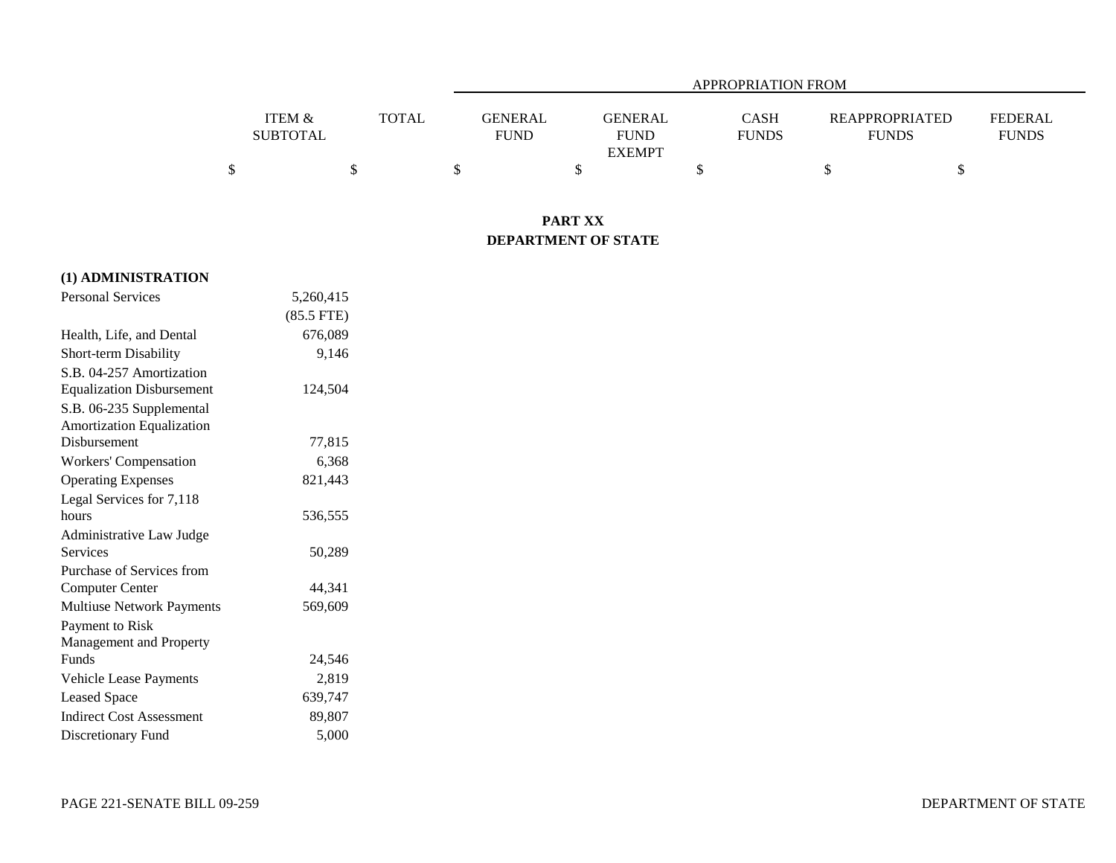|                   |              | APPROPRIATION FROM |               |              |                       |                |  |  |  |
|-------------------|--------------|--------------------|---------------|--------------|-----------------------|----------------|--|--|--|
|                   |              |                    |               |              |                       |                |  |  |  |
| <b>ITEM &amp;</b> | <b>TOTAL</b> | GENERAL            | GENERAL       | CASH         | <b>REAPPROPRIATED</b> | <b>FEDERAL</b> |  |  |  |
| <b>SUBTOTAL</b>   |              | <b>FUND</b>        | <b>FUND</b>   | <b>FUNDS</b> | <b>FUNDS</b>          | <b>FUNDS</b>   |  |  |  |
|                   |              |                    | <b>EXEMPT</b> |              |                       |                |  |  |  |
|                   |              |                    |               |              |                       |                |  |  |  |

## **PART XX DEPARTMENT OF STATE**

| (1) ADMINISTRATION               |              |
|----------------------------------|--------------|
| <b>Personal Services</b>         | 5,260,415    |
|                                  | $(85.5$ FTE) |
| Health, Life, and Dental         | 676,089      |
| <b>Short-term Disability</b>     | 9,146        |
| S.B. 04-257 Amortization         |              |
| <b>Equalization Disbursement</b> | 124,504      |
| S.B. 06-235 Supplemental         |              |
| Amortization Equalization        |              |
| Disbursement                     | 77,815       |
| <b>Workers' Compensation</b>     | 6,368        |
| <b>Operating Expenses</b>        | 821,443      |
| Legal Services for 7,118         |              |
| hours                            | 536,555      |
| Administrative Law Judge         |              |
| <b>Services</b>                  | 50,289       |
| Purchase of Services from        |              |
| <b>Computer Center</b>           | 44,341       |
| <b>Multiuse Network Payments</b> | 569,609      |
| Payment to Risk                  |              |
| Management and Property          |              |
| <b>Funds</b>                     | 24,546       |
| Vehicle Lease Payments           | 2,819        |
| <b>Leased Space</b>              | 639,747      |
| <b>Indirect Cost Assessment</b>  | 89,807       |
| Discretionary Fund               | 5,000        |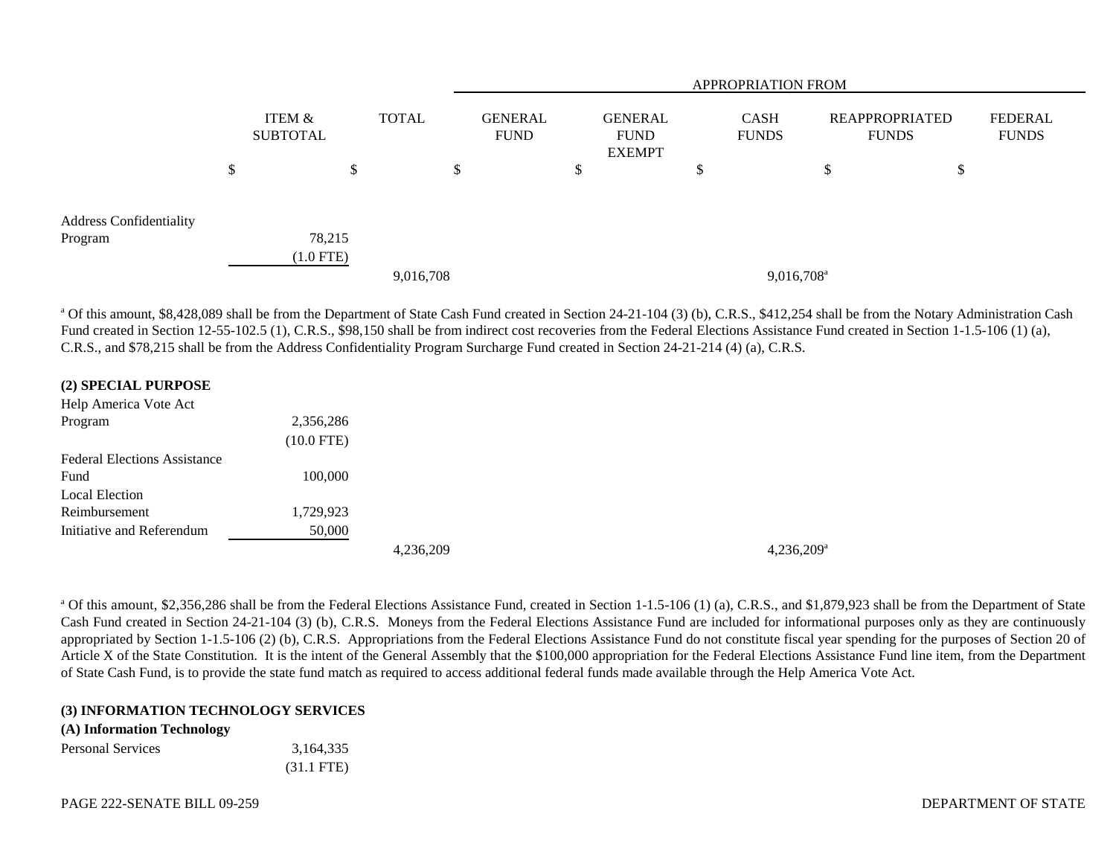|                                    |                           |              | <b>APPROPRIATION FROM</b>     |    |                                                |    |                             |                                |                                |  |  |  |
|------------------------------------|---------------------------|--------------|-------------------------------|----|------------------------------------------------|----|-----------------------------|--------------------------------|--------------------------------|--|--|--|
|                                    | ITEM &<br><b>SUBTOTAL</b> | <b>TOTAL</b> | <b>GENERAL</b><br><b>FUND</b> |    | <b>GENERAL</b><br><b>FUND</b><br><b>EXEMPT</b> |    | <b>CASH</b><br><b>FUNDS</b> | REAPPROPRIATED<br><b>FUNDS</b> | <b>FEDERAL</b><br><b>FUNDS</b> |  |  |  |
|                                    | \$                        | \$           | \$                            | \$ |                                                | ۰D |                             | Φ<br>Φ                         | ⊅                              |  |  |  |
| Address Confidentiality<br>Program | 78,215<br>$(1.0$ FTE)     |              |                               |    |                                                |    |                             |                                |                                |  |  |  |
|                                    |                           | 9,016,708    |                               |    |                                                |    | 9,016,708 <sup>a</sup>      |                                |                                |  |  |  |

<sup>a</sup> Of this amount, \$8,428,089 shall be from the Department of State Cash Fund created in Section 24-21-104 (3) (b), C.R.S., \$412,254 shall be from the Notary Administration Cash Fund created in Section 12-55-102.5 (1), C.R.S., \$98,150 shall be from indirect cost recoveries from the Federal Elections Assistance Fund created in Section 1-1.5-106 (1) (a), C.R.S., and \$78,215 shall be from the Address Confidentiality Program Surcharge Fund created in Section 24-21-214 (4) (a), C.R.S.

| (2) SPECIAL PURPOSE                 |              |           |  |
|-------------------------------------|--------------|-----------|--|
| Help America Vote Act               |              |           |  |
| Program                             | 2,356,286    |           |  |
|                                     | $(10.0$ FTE) |           |  |
| <b>Federal Elections Assistance</b> |              |           |  |
| Fund                                | 100,000      |           |  |
| <b>Local Election</b>               |              |           |  |
| Reimbursement                       | 1,729,923    |           |  |
| Initiative and Referendum           | 50,000       |           |  |
|                                     |              | 4,236,209 |  |

<sup>a</sup> Of this amount, \$2,356,286 shall be from the Federal Elections Assistance Fund, created in Section 1-1.5-106 (1) (a), C.R.S., and \$1,879,923 shall be from the Department of State Cash Fund created in Section 24-21-104 (3) (b), C.R.S. Moneys from the Federal Elections Assistance Fund are included for informational purposes only as they are continuously appropriated by Section 1-1.5-106 (2) (b), C.R.S. Appropriations from the Federal Elections Assistance Fund do not constitute fiscal year spending for the purposes of Section 20 of Article X of the State Constitution. It is the intent of the General Assembly that the \$100,000 appropriation for the Federal Elections Assistance Fund line item, from the Department of State Cash Fund, is to provide the state fund match as required to access additional federal funds made available through the Help America Vote Act.

4,236,209<sup>a</sup>

## **(3) INFORMATION TECHNOLOGY SERVICES**

## **(A) Information Technology**

| <b>Personal Services</b> | 3,164,335            |
|--------------------------|----------------------|
|                          | $(31.1 \text{ FTE})$ |